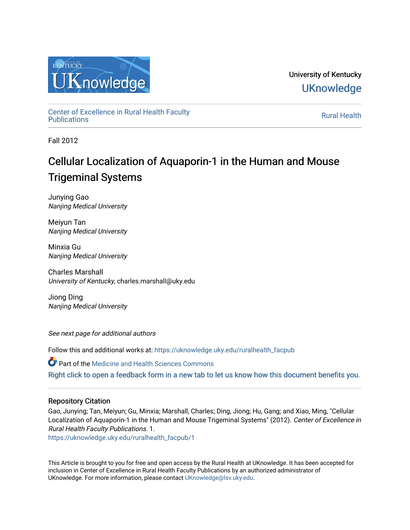

University of Kentucky **UKnowledge** 

[Center of Excellence in Rural Health Faculty](https://uknowledge.uky.edu/ruralhealth_facpub)  [Publications](https://uknowledge.uky.edu/ruralhealth_facpub) [Rural Health](https://uknowledge.uky.edu/ruralhealth) 

Fall 2012

# Cellular Localization of Aquaporin-1 in the Human and Mouse Trigeminal Systems

Junying Gao Nanjing Medical University

Meiyun Tan Nanjing Medical University

Minxia Gu Nanjing Medical University

Charles Marshall University of Kentucky, charles.marshall@uky.edu

Jiong Ding Nanjing Medical University

See next page for additional authors

Follow this and additional works at: [https://uknowledge.uky.edu/ruralhealth\\_facpub](https://uknowledge.uky.edu/ruralhealth_facpub?utm_source=uknowledge.uky.edu%2Fruralhealth_facpub%2F1&utm_medium=PDF&utm_campaign=PDFCoverPages)

Part of the [Medicine and Health Sciences Commons](http://network.bepress.com/hgg/discipline/648?utm_source=uknowledge.uky.edu%2Fruralhealth_facpub%2F1&utm_medium=PDF&utm_campaign=PDFCoverPages)  [Right click to open a feedback form in a new tab to let us know how this document benefits you.](https://uky.az1.qualtrics.com/jfe/form/SV_9mq8fx2GnONRfz7)

# Repository Citation

Gao, Junying; Tan, Meiyun; Gu, Minxia; Marshall, Charles; Ding, Jiong; Hu, Gang; and Xiao, Ming, "Cellular Localization of Aquaporin-1 in the Human and Mouse Trigeminal Systems" (2012). Center of Excellence in Rural Health Faculty Publications. 1.

[https://uknowledge.uky.edu/ruralhealth\\_facpub/1](https://uknowledge.uky.edu/ruralhealth_facpub/1?utm_source=uknowledge.uky.edu%2Fruralhealth_facpub%2F1&utm_medium=PDF&utm_campaign=PDFCoverPages)

This Article is brought to you for free and open access by the Rural Health at UKnowledge. It has been accepted for inclusion in Center of Excellence in Rural Health Faculty Publications by an authorized administrator of UKnowledge. For more information, please contact [UKnowledge@lsv.uky.edu](mailto:UKnowledge@lsv.uky.edu).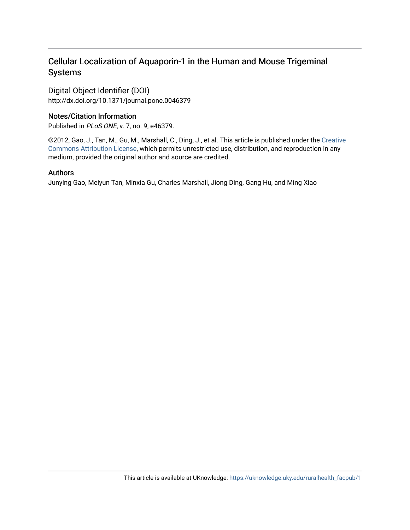# Cellular Localization of Aquaporin-1 in the Human and Mouse Trigeminal Systems

Digital Object Identifier (DOI) http://dx.doi.org/10.1371/journal.pone.0046379

# Notes/Citation Information

Published in PLoS ONE, v. 7, no. 9, e46379.

©2012, Gao, J., Tan, M., Gu, M., Marshall, C., Ding, J., et al. This article is published under the [Creative](http://creativecommons.org/licenses/by/3.0/us/)  [Commons Attribution License](http://creativecommons.org/licenses/by/3.0/us/), which permits unrestricted use, distribution, and reproduction in any medium, provided the original author and source are credited.

# Authors

Junying Gao, Meiyun Tan, Minxia Gu, Charles Marshall, Jiong Ding, Gang Hu, and Ming Xiao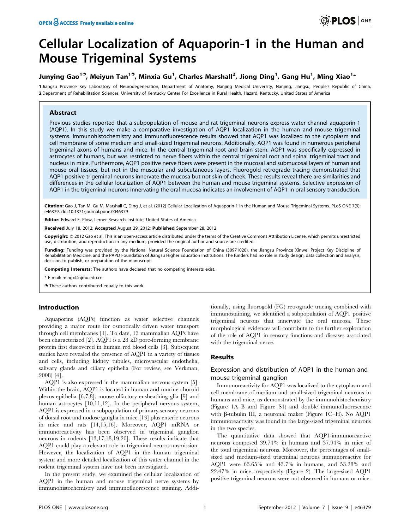# Cellular Localization of Aquaporin-1 in the Human and Mouse Trigeminal Systems

# Junying Gao $^{19}$ , Meiyun Tan $^{19}$ , Minxia Gu $^1$ , Charles Marshall $^2$ , Jiong Ding $^1$ , Gang Hu $^1$ , Ming Xiao $^{1\ast}$

1 Jiangsu Province Key Laboratory of Neurodegeneration, Department of Anatomy, Nanjing Medical University, Nanjing, Jiangsu, People's Republic of China, 2 Department of Rehabilitation Sciences, University of Kentucky Center For Excellence in Rural Health, Hazard, Kentucky, United States of America

# Abstract

Previous studies reported that a subpopulation of mouse and rat trigeminal neurons express water channel aquaporin-1 (AQP1). In this study we make a comparative investigation of AQP1 localization in the human and mouse trigeminal systems. Immunohistochemistry and immunofluorescence results showed that AQP1 was localized to the cytoplasm and cell membrane of some medium and small-sized trigeminal neurons. Additionally, AQP1 was found in numerous peripheral trigeminal axons of humans and mice. In the central trigeminal root and brain stem, AQP1 was specifically expressed in astrocytes of humans, but was restricted to nerve fibers within the central trigeminal root and spinal trigeminal tract and nucleus in mice. Furthermore, AQP1 positive nerve fibers were present in the mucosal and submucosal layers of human and mouse oral tissues, but not in the muscular and subcutaneous layers. Fluorogold retrograde tracing demonstrated that AQP1 positive trigeminal neurons innervate the mucosa but not skin of cheek. These results reveal there are similarities and differences in the cellular localization of AQP1 between the human and mouse trigeminal systems. Selective expression of AQP1 in the trigeminal neurons innervating the oral mucosa indicates an involvement of AQP1 in oral sensory transduction.

Citation: Gao J, Tan M, Gu M, Marshall C, Ding J, et al. (2012) Cellular Localization of Aquaporin-1 in the Human and Mouse Trigeminal Systems. PLoS ONE 7(9): e46379. doi:10.1371/journal.pone.0046379

Editor: Edward F. Plow, Lerner Research Institute, United States of America

Received July 18, 2012; Accepted August 29, 2012; Published September 28, 2012

**Copyright:** © 2012 Gao et al. This is an open-access article distributed under the terms of the Creative Commons Attribution License, which permits unrestricted use, distribution, and reproduction in any medium, provided the original author and source are credited.

Funding: Funding was provided by the National Natural Science Foundation of China (30971020), the Jiangsu Province Xinwei Project Key Discipline of Rehabilitation Medicine, and the PAPD Foundation of Jiangsu Higher Education Institutions. The funders had no role in study design, data collection and analysis, decision to publish, or preparation of the manuscript.

Competing Interests: The authors have declared that no competing interests exist.

\* E-mail: mingx@njmu.edu.cn

**.** These authors contributed equally to this work.

### Introduction

Aquaporins (AQPs) function as water selective channels providing a major route for osmotically driven water transport through cell membranes [1]. To date, 13 mammalian AQPs have been characterized [2]. AQP1 is a 28 kD pore-forming membrane protein first discovered in human red blood cells [3]. Subsequent studies have revealed the presence of AQP1 in a variety of tissues and cells, including kidney tubules, microvascular endothelia, salivary glands and ciliary epithelia (For review, see Verkman, 2008) [4].

AQP1 is also expressed in the mammalian nervous system [5]. Within the brain, AQP1 is located in human and murine choroid plexus epithelia [6,7,8], mouse olfactory ensheathing glia [9] and human astrocytes [10,11,12]. In the peripheral nervous system, AQP1 is expressed in a subpopulation of primary sensory neurons of dorsal root and nodose ganglia in mice [13] plus enteric neurons in mice and rats [14,15,16]. Moreover, AQP1 mRNA or immunoreactivity has been observed in trigeminal ganglion neurons in rodents [13,17,18,19,20]. These results indicate that AQP1 could play a relevant role in trigeminal neurotransmission. However, the localization of AQP1 in the human trigeminal system and more detailed localization of this water channel in the rodent trigeminal system have not been investigated.

In the present study, we examined the cellular localization of AQP1 in the human and mouse trigeminal nerve systems by immunohistochemistry and immunofluorescence staining. Addi-

tionally, using fluorogold (FG) retrograde tracing combined with immunostaining, we identified a subpopulation of AQP1 positive trigeminal neurons that innervate the oral mucosa. These morphological evidences will contribute to the further exploration of the role of AQP1 in sensory functions and diseases associated with the trigeminal nerve.

# Results

# Expression and distribution of AQP1 in the human and mouse trigeminal ganglion

Immunoreactivity for AQP1 was localized to the cytoplasm and cell membrane of medium and small-sized trigeminal neurons in humans and mice, as demonstrated by the immunohistochemistry (Figure 1A–B and Figure S1) and double immunofluorescence with  $\beta$ -tubulin III, a neuronal maker (Figure 1C–H). No AQP1 immunoreactivity was found in the large-sized trigeminal neurons in the two species.

The quantitative data showed that AQP1-immunoreactive neurons composed 39.74% in humans and 37.94% in mice of the total trigeminal neurons. Moreover, the percentages of smallsized and medium-sized trigeminal neurons immunoreactive for AQP1 were 63.65% and 43.7% in humans, and 53.28% and 22.47% in mice, respectively (Figure 2). The large-sized AQP1 positive trigeminal neurons were not observed in humans or mice.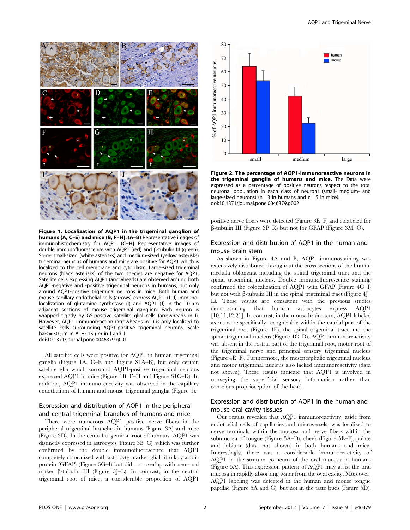

Figure 1. Localization of AQP1 in the trigeminal ganglion of humans (A, C–E) and mice (B, F–H). (A–B) Representative images of immunohistochemistry for AQP1. (C–H) Representative images of double immunofluorescence with AQP1 (red) and  $\beta$ -tubulin III (green). Some small-sized (white asterisks) and medium-sized (yellow asterisks) trigeminal neurons of humans and mice are positive for AQP1 which is localized to the cell membrane and cytoplasm. Large-sized trigeminal neurons (black asterisks) of the two species are negative for AQP1. Satellite cells expressing AQP1 (arrowheads) are observed around both AQP1-negative and -positive trigeminal neurons in humans, but only around AQP1-positive trigeminal neurons in mice. Both human and mouse capillary endothelial cells (arrows) express AQP1. (I–J) Immunolocalization of glutamine synthetase (I) and AQP1 (J) in the 10  $\mu$ m adjacent sections of mouse trigeminal ganglion. Each neuron is wrapped tightly by GS-positive satellite glial cells (arrowheads in I). However, AQP1 immunoreaction (arrowheads in J) is only localized to satellite cells surrounding AQP1-positive trigeminal neurons. Scale bars = 50  $\mu$ m in A–H; 15  $\mu$ m in I and J. doi:10.1371/journal.pone.0046379.g001

All satellite cells were positive for AQP1 in human trigeminal ganglia (Figure 1A, C–E and Figure S1A–B), but only certain satellite glia which surround AQP1-positive trigeminal neurons expressed AQP1 in mice (Figure 1B, F–H and Figure S1C–D). In addition, AQP1 immunoreactivity was observed in the capillary endothelium of human and mouse trigeminal ganglia (Figure 1).

# Expression and distribution of AQP1 in the peripheral and central trigeminal branches of humans and mice

There were numerous AQP1 positive nerve fibers in the peripheral trigeminal branches in humans (Figure 3A) and mice (Figure 3D). In the central trigeminal root of humans, AQP1 was distinctly expressed in astrocytes (Figure 3B–C), which was further confirmed by the double immunofluorescence that AQP1 completely colocalized with astrocyte marker glial fibrillary acidic protein (GFAP) (Figure 3G–I) but did not overlap with neuronal maker  $\beta$ -tubulin III (Figure 3J–L). In contrast, in the central trigeminal root of mice, a considerable proportion of AQP1



Figure 2. The percentage of AQP1-immunoreactive neurons in the trigeminal ganglia of humans and mice. The Data were expressed as a percentage of positive neurons respect to the total neuronal population in each class of neurons (small- medium- and large-sized neurons) ( $n = 3$  in humans and  $n = 5$  in mice). doi:10.1371/journal.pone.0046379.g002

positive nerve fibers were detected (Figure 3E–F) and colabeled for  $\beta$ -tubulin III (Figure 3P–R) but not for GFAP (Figure 3M–O).

## Expression and distribution of AQP1 in the human and mouse brain stem

As shown in Figure 4A and B, AQP1 immunostaining was extensively distributed throughout the cross sections of the human medulla oblongata including the spinal trigeminal tract and the spinal trigeminal nucleus. Double immunofluorescence staining confirmed the colocalization of AQP1 with GFAP (Figure 4G–I) but not with  $\beta$ -tubulin III in the spinal trigeminal tract (Figure 4J– L). These results are consistent with the previous studies demonstrating that human astrocytes express AQP1 [10,11,12,21]. In contrast, in the mouse brain stem, AQP1 labeled axons were specifically recognizable within the caudal part of the trigeminal root (Figure 4E), the spinal trigeminal tract and the spinal trigeminal nucleus (Figure 4C–D). AQP1 immunoreactivity was absent in the rostral part of the trigeminal root, motor root of the trigeminal nerve and principal sensory trigeminal nucleus (Figure 4E–F). Furthermore, the mesencephalic trigeminal nucleus and motor trigeminal nucleus also lacked immunoreactivity (data not shown). These results indicate that AQP1 is involved in conveying the superficial sensory information rather than conscious proprioception of the head.

# Expression and distribution of AQP1 in the human and mouse oral cavity tissues

Our results revealed that AQP1 immunoreactivity, aside from endothelial cells of capillaries and microvessels, was localized to nerve terminals within the mucosa and nerve fibers within the submucosa of tongue (Figure 5A–D), cheek (Figure 5E–F), palate and labium (data not shown) in both humans and mice. Interestingly, there was a considerable immunoreactivity of AQP1 in the stratum corneum of the oral mucosa in humans (Figure 5A). This expression pattern of AQP1 may assist the oral mucosa in rapidly absorbing water from the oval cavity. Moreover, AQP1 labeling was detected in the human and mouse tongue papillae (Figure 5A and C), but not in the taste buds (Figure 5D).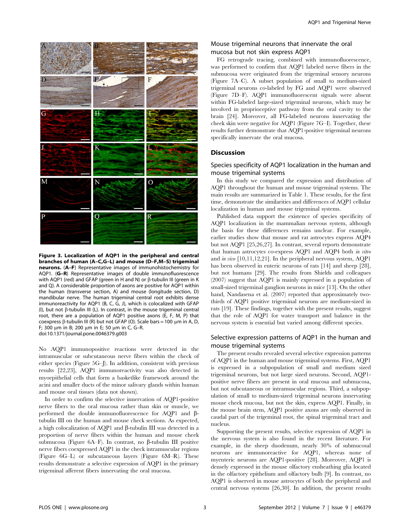

Figure 3. Localization of AQP1 in the peripheral and central branches of human (A–C,G–L) and mouse (D–F,M–S) trigeminal neurons. (A–F) Representative images of immunohistochemistry for AQP1. (G–R) Representative images of double immunofluorescence with AQP1 (red) and GFAP (green in H and N) or  $\beta$ -tubulin III (green in K and Q). A considerable proportion of axons are positive for AQP1 within the human (transverse section, A) and mouse (longitude section, D) mandibular nerve. The human trigeminal central root exhibits dense immunoreactivity for AQP1 (B, C, G, J), which is colocalized with GFAP (I), but not  $\beta$ -tubulin III (L). In contrast, in the mouse trigeminal central root, there are a population of AQP1 positive axons (E, F, M, P) that coexpress  $\beta$ -tubulin III (R) but not GFAP (O). Scale bars = 100 µm in A, D, F; 300  $\mu$ m in B; 200  $\mu$ m in E; 50  $\mu$ m in C, G-R. doi:10.1371/journal.pone.0046379.g003

No AQP1 immunopositive reactions were detected in the intramuscular or subcutaneous nerve fibers within the check of either species (Figure 5G–J). In addition, consistent with previous results [22,23], AQP1 immunoreactivity was also detected in myoepithelial cells that form a basketlike framework around the acini and smaller ducts of the minor salivary glands within human and mouse oral tissues (data not shown).

In order to confirm the selective innervation of AQP1-positive nerve fibers to the oral mucosa rather than skin or muscle, we performed the double immunofluorescence for AQP1 and btubulin III on the human and mouse check sections. As expected, a high colocalization of AQP1 and  $\beta$ -tubulin III was detected in a proportion of nerve fibers within the human and mouse cheek submucosa (Figure 6A–F). In contrast, no  $\beta$ -tubulin III positive nerve fibers coexpressed AQP1 in the check intramuscular regions (Figure 6G–L) or subcutaneous layers (Figure 6M–R). These results demonstrate a selective expression of AQP1 in the primary trigeminal afferent fibers innervating the oral mucosa.

# Mouse trigeminal neurons that innervate the oral mucosa but not skin express AQP1

FG retrograde tracing, combined with immunofluorescence, was performed to confirm that AQP1 labeled nerve fibers in the submucosa were originated from the trigeminal sensory neurons (Figure 7A–C). A subset population of small to medium-sized trigeminal neurons co-labeled by FG and AQP1 were observed (Figure 7D–F). AQP1 immunofluorescent signals were absent within FG-labeled large-sized trigeminal neurons, which may be involved in proprioceptive pathway from the oral cavity to the brain [24]. Moreover, all FG-labeled neurons innervating the cheek skin were negative for AQP1 (Figure 7G–I). Together, these results further demonstrate that AQP1-positive trigeminal neurons specifically innervate the oral mucosa.

## **Discussion**

# Species specificity of AQP1 localization in the human and mouse trigeminal systems

In this study we compared the expression and distribution of AQP1 throughout the human and mouse trigeminal systems. The main results are summarized in Table 1. These results, for the first time, demonstrate the similarities and differences of AQP1 cellular localization in human and mouse trigeminal systems.

Published data support the existence of species specificity of AQP1 localization in the mammalian nervous system, although the basis for these differences remains unclear. For example, earlier studies show that mouse and rat astrocytes express AQP4 but not AQP1 [25,26,27]. In contrast, several reports demonstrate that human astrocytes co-express AQP1 and AQP4 both in vitro and in vivo [10,11,12,21]. In the peripheral nervous system, AQP1 has been observed in enteric neurons of rats [14] and sheep [28], but not humans [29]. The results from Shields and colleagues (2007) suggest that AQP1 is mainly expressed in a population of small-sized trigeminal ganglion neurons in mice [13]. On the other hand, Nandasena et al. (2007) reported that approximately twothirds of AQP1 positive trigeminal neurons are medium-sized in rats [19]. These findings, together with the present results, suggest that the role of AQP1 for water transport and balance in the nervous system is essential but varied among different species.

# Selective expression patterns of AQP1 in the human and mouse trigeminal systems

The present results revealed several selective expression patterns of AQP1 in the human and mouse trigeminal systems. First, AQP1 is expressed in a subpopulation of small and medium sized trigeminal neurons, but not large sized neurons. Second, AQP1 positive nerve fibers are present in oral mucosa and submucosa, but not subcutaneous or intramuscular regions. Third, a subpopulation of small to medium-sized trigeminal neurons innervating mouse cheek mucosa, but not the skin, express AQP1. Finally, in the mouse brain stem, AQP1 positive axons are only observed in caudal part of the trigeminal root, the spinal trigeminal tract and nucleus.

Supporting the present results, selective expression of AQP1 in the nervous system is also found in the recent literature. For example, in the sheep duodenum, nearly 30% of submucosal neurons are immunoreactive for AQP1, whereas none of myenteric neurons are AQP1-positive [28]. Moreover, AQP1 is densely expressed in the mouse olfactory ensheathing glia located in the olfactory epithelium and olfactory bulb [9]. In contrast, no AQP1 is observed in mouse astrocytes of both the peripheral and central nervous systems [26,30]. In addition, the present results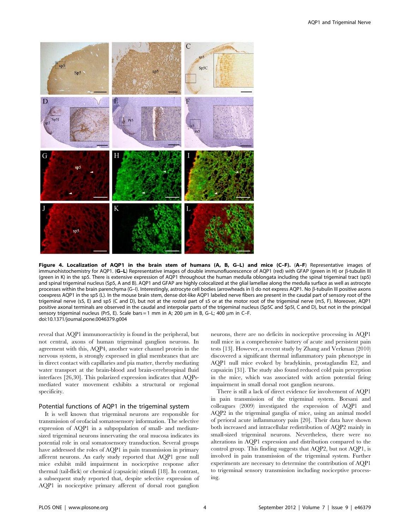

Figure 4. Localization of AQP1 in the brain stem of humans (A, B, G-L) and mice (C-F). (A-F) Representative images of immunohistochemistry for AQP1. (G-L) Representative images of double immunofluorescence of AQP1 (red) with GFAP (green in H) or  $\beta$ -tubulin III (green in K) in the sp5. There is extensive expression of AQP1 throughout the human medulla oblongata including the spinal trigeminal tract (sp5) and spinal trigeminal nucleus (Sp5, A and B). AQP1 and GFAP are highly colocalized at the glial lamellae along the medulla surface as well as astrocyte processes within the brain parenchyma (G-I). Interestingly, astrocyte cell bodies (arrowheads in I) do not express AQP1. No  $\beta$ -tubulin III positive axons coexpress AQP1 in the sp5 (L). In the mouse brain stem, dense dot-like AQP1 labeled nerve fibers are present in the caudal part of sensory root of the trigeminal nerve (s5, E) and sp5 (C and D), but not at the rostral part of s5 or at the motor root of the trigeminal nerve (m5, F). Moreover, AQP1 positive axonal terminals are observed in the caudal and interpolar parts of the trigeminal nucleus (Sp5C and Sp5I, C and D), but not in the principal sensory trigeminal nucleus (Pr5, E). Scale bars = 1 mm in A; 200  $\mu$ m in B, G-L; 400  $\mu$ m in C-F. doi:10.1371/journal.pone.0046379.g004

reveal that AQP1 immunoreactivity is found in the peripheral, but not central, axons of human trigeminal ganglion neurons. In agreement with this, AQP4, another water channel protein in the nervous system, is strongly expressed in glial membranes that are in direct contact with capillaries and pia matter, thereby mediating water transport at the brain-blood and brain-cerebrospinal fluid interfaces [26,30]. This polarized expression indicates that AQPsmediated water movement exhibits a structural or regional specificity.

#### Potential functions of AQP1 in the trigeminal system

It is well known that trigeminal neurons are responsible for transmission of orofacial somatosensory information. The selective expression of AQP1 in a subpopulation of small- and mediumsized trigeminal neurons innervating the oral mucosa indicates its potential role in oral somatosensory transduction. Several groups have addressed the roles of AQP1 in pain transmission in primary afferent neurons. An early study reported that AQP1 gene null mice exhibit mild impairment in nociceptive response after thermal (tail-flick) or chemical (capsaicin) stimuli [18]. In contrast, a subsequent study reported that, despite selective expression of AQP1 in nociceptive primary afferent of dorsal root ganglion neurons, there are no deficits in nociceptive processing in AQP1 null mice in a comprehensive battery of acute and persistent pain tests [13]. However, a recent study by Zhang and Verkman (2010) discovered a significant thermal inflammatory pain phenotype in AQP1 null mice evoked by bradykinin, prostaglandin E2, and capsaicin [31]. The study also found reduced cold pain perception in the mice, which was associated with action potential firing impairment in small dorsal root ganglion neurons.

There is still a lack of direct evidence for involvement of AQP1 in pain transmission of the trigeminal system. Borsani and colleagues (2009) investigated the expression of AQP1 and AQP2 in the trigeminal ganglia of mice, using an animal model of perioral acute inflammatory pain [20]. Their data have shown both increased and intracellular redistribution of AQP2 mainly in small-sized trigeminal neurons. Nevertheless, there were no alterations in AQP1 expression and distribution compared to the control group. This finding suggests that AQP2, but not AQP1, is involved in pain transmission of the trigeminal system. Further experiments are necessary to determine the contribution of AQP1 to trigeminal sensory transmission including nociceptive processing.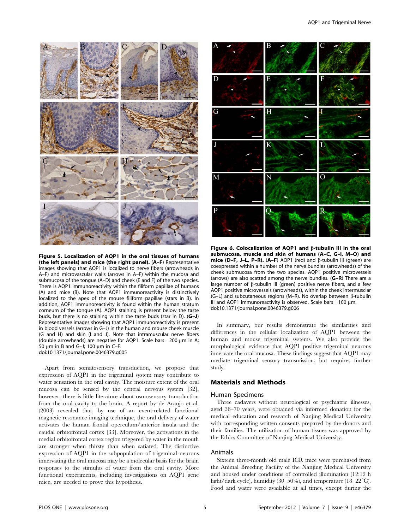

Figure 5. Localization of AQP1 in the oral tissues of humans (the left panels) and mice (the right panel). (A–F) Representative images showing that AQP1 is localized to nerve fibers (arrowheads in A–F) and microvascular walls (arrows in A–F) within the mucosa and submucosa of the tongue (A–D) and cheek (E and F) of the two species. There is AQP1 immunoreactivity within the filiform papillae of humans (A) and mice (B). Note that AQP1 immunoreactivity is distinctively localized to the apex of the mouse filiform papillae (stars in B). In addition, AQP1 immunoreactivity is found within the human stratum corneum of the tongue (A). AQP1 staining is present below the taste buds, but there is no staining within the taste buds (star in D). (G–J) Representative images showing that AQP1 immunoreactivity is present in blood vessels (arrows in G–J) in the human and mouse cheek muscle (G and H) and skin (I and J). Note that intramuscular nerve fibers (double arrowheads) are negative for AQP1. Scale bars = 200  $\mu$ m in A; 50  $\mu$ m in B and G-J; 100  $\mu$ m in C-F. doi:10.1371/journal.pone.0046379.g005

Apart from somatosensory transduction, we propose that expression of AQP1 in the trigeminal system may contribute to water sensation in the oral cavity. The moisture extent of the oral mucosa can be sensed by the central nervous system [32], however, there is little literature about osmosensory transduction from the oral cavity to the brain. A report by de Araujo et al. (2003) revealed that, by use of an event-related functional magnetic resonance imaging technique, the oral delivery of water activates the human frontal operculum/anterior insula and the caudal orbitofrontal cortex [33]. Moreover, the activations in the medial orbitofrontal cortex region triggered by water in the mouth are stronger when thirsty than when satiated. The distinctive expression of AQP1 in the subpopulation of trigeminal neurons innervating the oral mucosa may be a molecular basis for the brain responses to the stimulus of water from the oral cavity. More functional experiments, including investigations on AQP1 gene mice, are needed to prove this hypothesis.



Figure 6. Colocalization of AQP1 and  $\beta$ -tubulin III in the oral submucosa, muscle and skin of humans (A–C, G–I, M–O) and mice (D–F, J–L, P–R). (A–F) AQP1 (red) and  $\beta$ -tubulin III (green) are coexpressed within a number of the nerve bundles (arrowheads) of the cheek submucosa from the two species. AQP1 positive microvessels (arrows) are also scatted among the nerve bundles. (G–R) There are a large number of  $\beta$ -tubulin III (green) positive nerve fibers, and a few AQP1 positive microvessels (arrowheads), within the cheek intermusclar (G–L) and subcutaneous regions (M–R). No overlap between  $\beta$ -tubulin III and AQP1 immunoreactivity is observed. Scale bars = 100  $\mu$ m. doi:10.1371/journal.pone.0046379.g006

In summary, our results demonstrate the similarities and differences in the cellular localization of AQP1 between the human and mouse trigeminal systems. We also provide the morphological evidence that AQP1 positive trigeminal neurons innervate the oral mucosa. These findings suggest that AQP1 may mediate trigeminal sensory transmission, but requires further study.

## Materials and Methods

#### Human Specimens

Three cadavers without neurological or psychiatric illnesses, aged 36–70 years, were obtained via informed donation for the medical education and research of Nanjing Medical University with corresponding written consents prepared by the donors and their families. The utilization of human tissues was approved by the Ethics Committee of Nanjing Medical University.

#### Animals

Sixteen three-month old male ICR mice were purchased from the Animal Breeding Facility of the Nanjing Medical University and housed under conditions of controlled illumination (12:12 h light/dark cycle), humidity (30–50%), and temperature (18–22 $^{\circ}$ C). Food and water were available at all times, except during the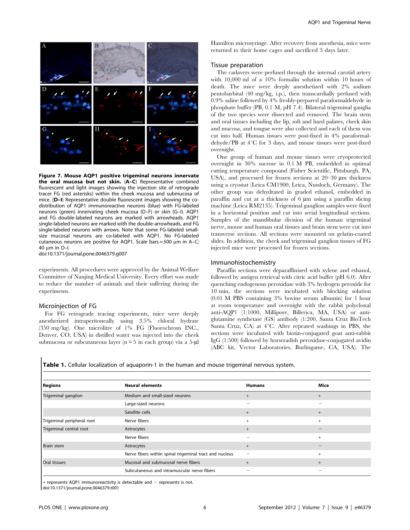

Figure 7. Mouse AQP1 positive trigeminal neurons innervate the oral mucosa but not skin. (A–C) Representative combined fluorescent and light images showing the injection site of retrograde tracer FG (red asterisks) within the cheek mucosa and submucosa of mice. (D–I) Representative double fluorescent images showing the codistribution of AQP1 immunoreactive neurons (blue) with FG-labeled neurons (green) innervating cheek mucosa (D–F) or skin (G–I). AQP1 and FG double-labeled neurons are marked with arrowheads. AQP1 single-labeled neurons are marked with the double-arrowheads, and FG single-labeled neurons with arrows. Note that some FG-labeled smallsize mucosal neurons are co-labeled with AQP1. No FG-labeled cutaneous neurons are positive for AQP1. Scale bars = 500  $\mu$ m in A-C;  $40 \text{ nm}$  in D–I.

doi:10.1371/journal.pone.0046379.g007

experiments. All procedures were approved by the Animal Welfare Committee of Nanjing Medical University. Every effort was made to reduce the number of animals and their suffering during the experiments.

#### Microinjection of FG

For FG retrograde tracing experiments, mice were deeply anesthetized intraperitoneally using 3.5% chloral hydrate (350 mg/kg). One microlitre of 1% FG (Fluorochrom INC., Denver, CO, USA) in distilled water was injected into the cheek submucosa or subcutaneous layer ( $n = 5$  in each group) via a 5- $\mu$ l Hamilton microsyringe. After recovery from anesthesia, mice were returned to their home cages and sacrificed 3 days later.

#### Tissue preparation

The cadavers were perfused through the internal carotid artery with 10,000 ml of a 10% formalin solution within 10 hours of death. The mice were deeply anesthetized with 2% sodium pentobarbital (40 mg/kg, i.p.), then transcardially perfused with 0.9% saline followed by 4% freshly-prepared paraformaldehyde in phosphate buffer (PB, 0.1 M, pH 7.4). Bilateral trigeminal ganglia of the two species were dissected and removed. The brain stem and oral tissues including the lip, soft and hard palates, cheek skin and mucosa, and tongue were also collected and each of them was cut into half. Human tissues were post-fixed in 4% paraformaldehyde/PB at  $4^{\circ}$ C for 3 days, and mouse tissues were post-fixed overnight.

One group of human and mouse tissues were cryoprotected overnight in 30% sucrose in 0.1 M PB, embedded in optimal cutting temperature compound (Fisher Scientific, Pittsburgh, PA, USA), and processed for frozen sections at  $20-30 \mu m$  thickness using a cryostat (Leica CM1900, Leica, Nussloch, Germany). The other group was dehydrated in graded ethanol, embedded in paraffin and cut at a thickness of  $6 \mu m$  using a paraffin slicing machine (Leica RM2135). Trigeminal ganglion samples were fixed in a horizontal position and cut into serial longitudinal sections. Samples of the mandibular division of the human trigeminal nerve, mouse and human oral tissues and brain stem were cut into transverse sections. All sections were mounted on gelatin-coated slides. In addition, the cheek and trigeminal ganglion tissues of FG injected mice were processed for frozen sections.

#### Immunohistochemistry

Paraffin sections were deparaffinized with xylene and ethanol, followed by antigen retrieval with citric acid buffer (pH 6.0). After quenching endogenous peroxidase with 3% hydrogen peroxide for 10 min, the sections were incubated with blocking solution (0.01 M PBS containing 3% bovine serum albumin) for 1 hour at room temperature and overnight with the rabbit polyclonal anti-AQP1 (1:1000, Millipore, Billerica, MA, USA) or antiglutamine synthetase (GS) antibody (1:200, Santa Cruz BioTech Santa Cruz, CA) at  $4^{\circ}$ C. After repeated washings in PBS, the sections were incubated with biotin-conjugated goat anti-rabbit IgG (1:500) followed by horseradish peroxidase-conjugated avidin (ABC kit, Vector Laboratories, Burlingame, CA, USA). The

Table 1. Cellular localization of aquaporin-1 in the human and mouse trigeminal nervous system.

| <b>Regions</b>             | <b>Neural elements</b>                                  | <b>Humans</b> | Mice   |
|----------------------------|---------------------------------------------------------|---------------|--------|
| Trigeminal ganglion        | Medium and small-sized neurons                          | $+$           | $+$    |
|                            | Large-sized neurons                                     |               |        |
|                            | Satellite cells                                         | $+$           | $+$    |
| Trigeminal peripheral root | Nerve fibers                                            | $+$           | $^{+}$ |
| Trigeminal central root    | Astrocytes                                              | $+$           |        |
|                            | Nerve fibers                                            |               | $^{+}$ |
| <b>Brain stem</b>          | Astrocytes                                              | $+$           |        |
|                            | Nerve fibers within spinal trigeminal tract and nucleus | -             | $^{+}$ |
| Oral tissues               | Mucosal and submucosal nerve fibers                     | $+$           | $+$    |
|                            | Subcutaneous and intramuscular nerve fibers             |               |        |

+ represents AQP1 immunoreactivity is detectable and - represents is not.

doi:10.1371/journal.pone.0046379.t001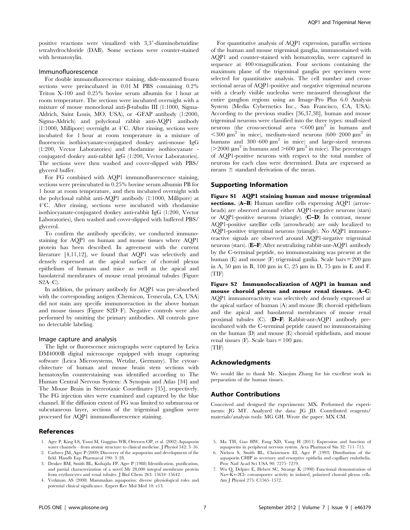positive reactions were visualized with  $3,3'$ -diaminobenzidine tetrahydrochloride (DAB). Some sections were counter-stained with hematoxylin.

#### Immunofluorescence

For double immunofluorescence staining, slide-mounted frozen sections were preincubated in 0.01 M PBS containing 0.2% Triton X-100 and 0.25% bovine serum albumin for 1 hour at room temperature. The sections were incubated overnight with a mixture of mouse monoclonal anti- $\beta$ -tubulin III (1:1000, Sigma-Aldrich, Saint Louis, MO, USA), or -GFAP antibody (1:2000, Sigma-Aldrich) and polyclonal rabbit anti-AQP1 antibody  $(1:1000,$  Millipore) overnight at  $4^{\circ}$ C. After rinsing, sections were incubated for 1 hour at room temperature in a mixture of fluorescein isothiocyanate-conjugated donkey anti-mouse IgG (1:200, Vector Laboratories) and rhodamine isothiocyanate conjugated donkey anti-rabbit IgG (1:200, Vector Laboratories). The sections were then washed and cover-slipped with PBS/ glycerol buffer.

For FG combined with AQP1 immunofluorescence staining, sections were preincubated in 0.25% bovine serum albumin PB for 1 hour at room temperature, and then incubated overnight with the polyclonal rabbit anti-AQP1 antibody (1:1000, Millipore) at  $4^{\circ}$ C. After rinsing, sections were incubated with rhodamine isothiocyanate-conjugated donkey anti-rabbit IgG (1:200, Vector Laboratories), then washed and cover-slipped with buffered PBS/ glycerol.

To confirm the antibody specificity, we conducted immunostaining for AQP1 on human and mouse tissues where AQP1 protein has been described. In agreement with the current literature [4,11,12], we found that AQP1 was selectively and densely expressed at the apical surface of choroid plexus epithelium of humans and mice as well as the apical and basolateral membranes of mouse renal proximal tubules (Figure  $S2A-C$ ).

In addition, the primary antibody for AQP1 was pre-absorbed with the corresponding antigen (Chemicon, Temecula, CA, USA) did not stain any specific immunoreaction in the above human and mouse tissues (Figure S2D–F). Negative controls were also performed by omitting the primary antibodies. All controls gave no detectable labeling.

## Image capture and analysis

The light or fluorescence micrographs were captured by Leica DM4000B digital microscope equipped with image capturing software (Leica Microsystems, Wetzlar, Germany). The cytoarchitecture of human and mouse brain stem sections with hematoxylin counterstaining was identified according to The Human Central Nervous System: A Synopsis and Atlas [34] and The Mouse Brain in Stereotaxic Coordinates [35], respectively. The FG injection sites were examined and captured by the blue channel. If the diffusion extent of FG was limited to submucosa or subcutaneous layer, sections of the trigeminal ganglion were processed for AQP1 immunofluorescence staining.

## References

- 1. Agre P, King LS, Yasui M, Guggino WB, Ottersen OP, et al. (2002) Aquaporin water channels—from atomic structure to clinical medicine. J Physiol 542: 3–16.
- 2. Carbrey JM, Agre P (2009) Discovery of the aquaporins and development of the field. Handb Exp Pharmacol 190: 3–28.
- 3. Denker BM, Smith BL, Kuhajda FP, Agre P (1988) Identification, purification, and partial characterization of a novel Mr 28,000 integral membrane protein from erythrocytes and renal tubules. J Biol Chem 263: 15634–15642. 4. Verkman AS (2008) Mammalian aquaporins: diverse physiological roles and

of the human and mouse trigeminal ganglia, immunostained with AQP1 and counter-stained with hematoxylin, were captured in sequence at  $400 \times$ magnification. Four sections containing the maximum plane of the trigeminal ganglia per specimen were selected for quantitative analysis. The cell number and crosssectional areas of AQP1-positive and -negative trigeminal neurons with a clearly visible nucleolus were measured throughout the entire ganglion regions using an Image-Pro Plus 6.0 Analysis System (Media Cybernetics Inc., San Francisco, CA, USA). According to the previous studies [36,37,38], human and mouse trigeminal neurons were classified into the three types: small-sized neurons (the cross-sectional area  $<600 \mu m^2$  in humans and  $<$ 300  $\mu$ m<sup>2</sup> in mice), medium-sized neurons (600–2000  $\mu$ m<sup>2</sup> in humans and 300–600  $\mu$ m<sup>2</sup> in mice) and large-sized neurons ( $>$ 2000 µm<sup>2</sup> in humans and  $>$ 600 µm<sup>2</sup> in mice). The percentages of AQP1-positive neurons with respect to the total number of neurons for each class were determined. Data are expressed as means  $\pm$  standard derivation of the mean.

For quantitative analysis of AQP1 expression, paraffin sections

AQP1 and Trigeminal Nerve

## Supporting Information

Figure S1 AQP1 staining human and mouse trigeminal sections. (A–B) Human satellite cells expressing AQP1 (arrowheads) are observed around either AQP1-negative neurons (stars) or AQP1-positive neurons (triangle). (C–D) In contrast, mouse AQP1-positive satellite cells (arrowheads) are only localized to AQP1-positive trigeminal neurons (triangle). No AQP1 immunoreactive signals are observed around AQP1-negative trigeminal neurons (stars). (E–F) After neutralizing rabbit-ant-AQP1 antibody by the C-terminal peptide, no immunostaining was present at the human (E) and mouse (F) trigeminal ganlia. Scale bars  $= 200 \mu m$ in A, 50  $\mu$ m in B, 100  $\mu$ m in C, 25  $\mu$ m in D, 75  $\mu$ m in E and F. (TIF)

Figure S2 Immunolocalization of AQP1 in human and mouse choroid plexus and mouse renal tissues. (A–C) AQP1 immunoreactivity was selectively and densely expressed at the apical surface of human (A) and mouse (B) choroid epithelium and the apical and basolateral membranes of mouse renal proximal tubules (C). (D–F) Rabbit-ant-AQP1 antibody preincubated with the C-terminal peptide caused no immunostaining on the human (D) and mouse (E) choroid epithelium, and mouse renal tissues (F). Scale bars =  $100 \mu m$ . (TIF)

# Acknowledgments

We would like to thank Mr. Xiaojun Zhang for his excellent work in preparation of the human tissues.

#### Author Contributions

Conceived and designed the experiments: MX. Performed the experiments: JG MT. Analyzed the data: JG JD. Contributed reagents/ materials/analysis tools: MG GH. Wrote the paper: MX CM.

- 5. Ma TH, Gao HW, Fang XD, Yang H (2011) Expression and function of aquaporins in peripheral nervous system. Acta Pharmacol Sin 32: 711–715.
- 6. Nielsen S, Smith BL, Christensen EI, Agre P (1993) Distribution of the aquaporin CHIP in secretory and resorptive epithelia and capillary endothelia. Proc Natl Acad Sci USA 90: 7275–7279.
- 7. Wu Q, Delpire E, Hebert SC, Strange K (1998) Functional demonstration of Na+-K+-2Cl- cotransporter activity in isolated, polarized choroid plexus cells. Am J Physiol 275: C1565–1572.

potential clinical significance. Expert Rev Mol Med 10: e13.